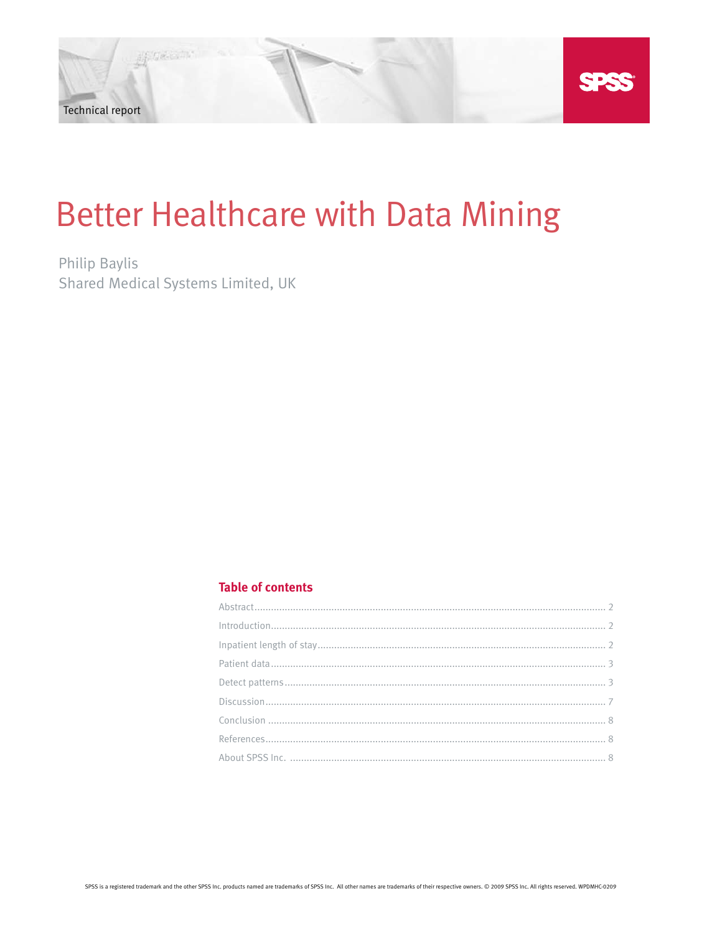# **Better Healthcare with Data Mining**

**Philip Baylis** Shared Medical Systems Limited, UK

# **Table of contents**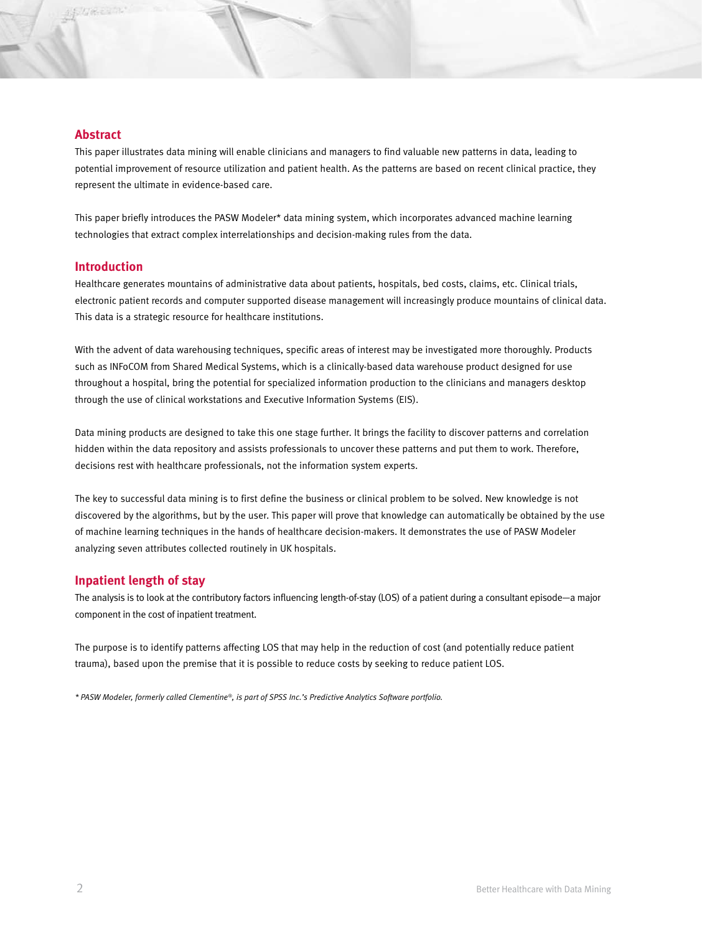# **Abstract**

This paper illustrates data mining will enable clinicians and managers to find valuable new patterns in data, leading to potential improvement of resource utilization and patient health. As the patterns are based on recent clinical practice, they represent the ultimate in evidence-based care.

This paper briefly introduces the PASW Modeler\* data mining system, which incorporates advanced machine learning technologies that extract complex interrelationships and decision-making rules from the data.

#### **Introduction**

Healthcare generates mountains of administrative data about patients, hospitals, bed costs, claims, etc. Clinical trials, electronic patient records and computer supported disease management will increasingly produce mountains of clinical data. This data is a strategic resource for healthcare institutions.

With the advent of data warehousing techniques, specific areas of interest may be investigated more thoroughly. Products such as INFoCOM from Shared Medical Systems, which is a clinically-based data warehouse product designed for use throughout a hospital, bring the potential for specialized information production to the clinicians and managers desktop through the use of clinical workstations and Executive Information Systems (EIS).

Data mining products are designed to take this one stage further. It brings the facility to discover patterns and correlation hidden within the data repository and assists professionals to uncover these patterns and put them to work. Therefore, decisions rest with healthcare professionals, not the information system experts.

The key to successful data mining is to first define the business or clinical problem to be solved. New knowledge is not discovered by the algorithms, but by the user. This paper will prove that knowledge can automatically be obtained by the use of machine learning techniques in the hands of healthcare decision-makers. It demonstrates the use of PASW Modeler analyzing seven attributes collected routinely in UK hospitals.

### **Inpatient length of stay**

The analysis is to look at the contributory factors influencing length-of-stay (LOS) of a patient during a consultant episode—a major component in the cost of inpatient treatment.

The purpose is to identify patterns affecting LOS that may help in the reduction of cost (and potentially reduce patient trauma), based upon the premise that it is possible to reduce costs by seeking to reduce patient LOS.

*\* PASW Modeler, formerly called Clementine®, is part of SPSS Inc.'s Predictive Analytics Software portfolio.*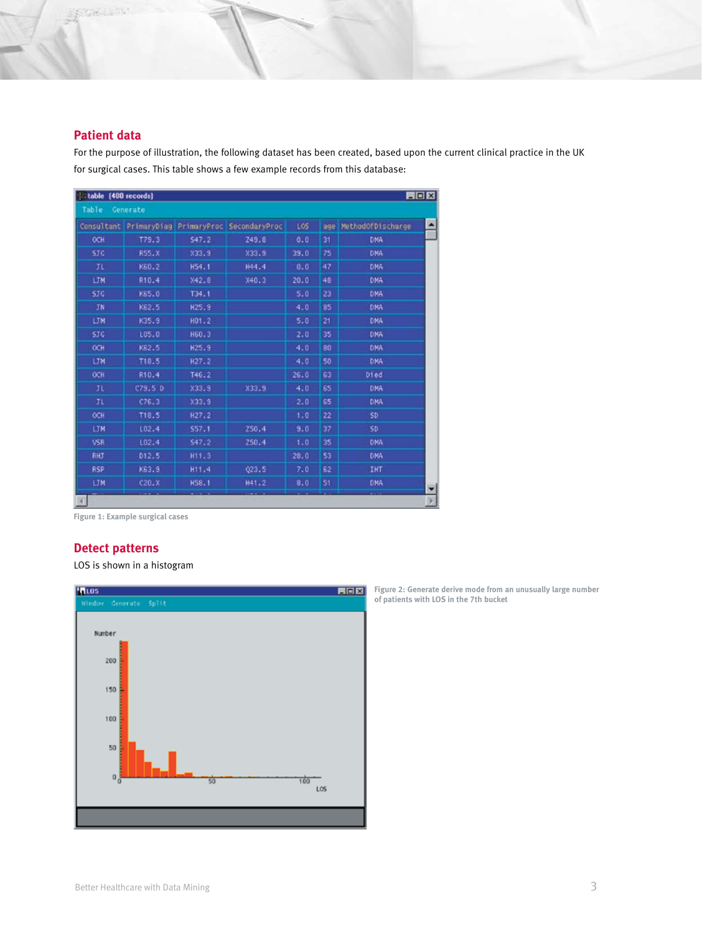# **Patient data**

SECRETA

For the purpose of illustration, the following dataset has been created, based upon the current clinical practice in the UK for surgical cases. This table shows a few example records from this database:

| 開回図<br>Etable [480 records] |         |                   |                                                  |            |     |                   |   |
|-----------------------------|---------|-------------------|--------------------------------------------------|------------|-----|-------------------|---|
| Table Generate              |         |                   |                                                  |            |     |                   |   |
|                             |         |                   | Consultant PrimaryDiag PrimaryProc SecondaryProc | <b>LOS</b> | age | MethodOfDischarge | ٠ |
| OCH                         | T79.3   | 547.2             | Z49.8                                            | 0.0        | 31  | <b>DMA</b>        |   |
| STC                         | R55.X   | X33.9             | X33.9                                            | 39.0       | 75  | <b>DMA</b>        |   |
| JL                          | K60.2   | H54.1             | H44.4                                            | 0.0        | 47  | DNA               |   |
| <b>LTM</b>                  | R10.4   | <b>X42.8</b>      | X40.3                                            | 20.0       | 48  | DMA               |   |
| STG                         | K65.0   | T34.1             |                                                  | 5.0        | 23  | <b>DKA</b>        |   |
| JN                          | K62.5   | H25.9             |                                                  | 4.0        | 85  | <b>DMA</b>        |   |
| <b>UM</b>                   | K35.9   | H01.2             |                                                  | 5.0        | 21  | DNA               |   |
| STG.                        | 105.0   | H60.3             |                                                  | 2,0        | 35  | DNA               |   |
| OCH                         | K62.5   | H25.9             |                                                  | 4.0        | 80  | DMA:              |   |
| <b>LTM</b>                  | T18.5   | H <sub>27.2</sub> |                                                  | 4.0        | 50  | DNA               |   |
| OCH                         | R10.4   | T46.2             |                                                  | 26.0       | 63  | Died              |   |
| II.                         | C79.5 D | X33.9             | X33.9                                            | 4.0        | 65  | DMA               |   |
| JΕ                          | C76.3   | X33.9             |                                                  | 2.0        | 65  | DMA               |   |
| OCH                         | T18.5   | H <sub>27.2</sub> |                                                  | 1.0        | 22  | SD.               |   |
| LTM                         | 102.4   | 557.1             | 250.4                                            | 9.0        | 37  | SD                |   |
| <b>VSR</b>                  | L02.4   | S47.2             | 250.4                                            | 1.0        | 35  | DMA               |   |
| <b>RHJ</b>                  | D12.5   | H11.3             |                                                  | 28.0       | 53  | <b>DKA</b>        |   |
| <b>RSP</b>                  | K63.9   | H11.4             | 023.5                                            | 7.0        | 62  | <b>IHT</b>        |   |
| <b>LTM</b>                  | C20.X   | H58.1             | H41.2                                            | 8,0        | 51  | <b>DKA</b>        |   |
|                             |         |                   |                                                  |            |     |                   |   |

**Figure 1: Example surgical cases**

# **Detect patterns**

LOS is shown in a histogram



**Figure 2: Generate derive mode from an unusually large number of patients with LOS in the 7th bucket**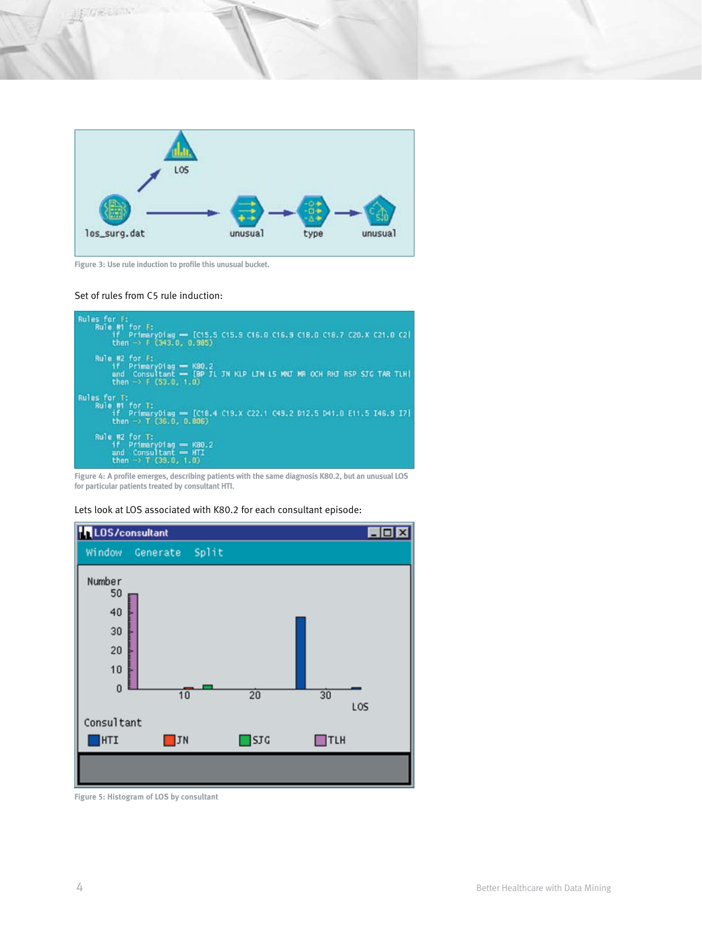



**Figure 3: Use rule induction to profile this unusual bucket.** 

#### Set of rules from C5 rule induction:



**Figure 4: A profile emerges, describing patients with the same diagnosis K80.2, but an unusual LOS for particular patients treated by consultant HTI.**

#### Lets look at LOS associated with K80.2 for each consultant episode:



**Figure 5: Histogram of LOS by consultant**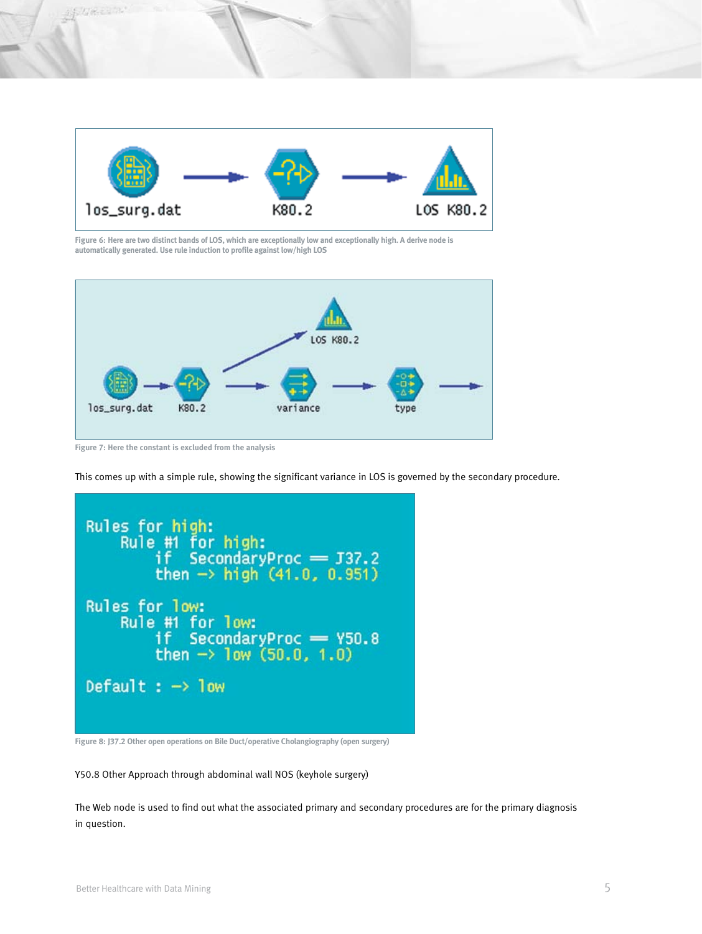

**Figure 6: Here are two distinct bands of LOS, which are exceptionally low and exceptionally high. A derive node is automatically generated. Use rule induction to profile against low/high LOS**



**Figure 7: Here the constant is excluded from the analysis**

This comes up with a simple rule, showing the significant variance in LOS is governed by the secondary procedure.



**Figure 8: J37.2 Other open operations on Bile Duct/operative Cholangiography (open surgery)**

Y50.8 Other Approach through abdominal wall NOS (keyhole surgery)

The Web node is used to find out what the associated primary and secondary procedures are for the primary diagnosis in question.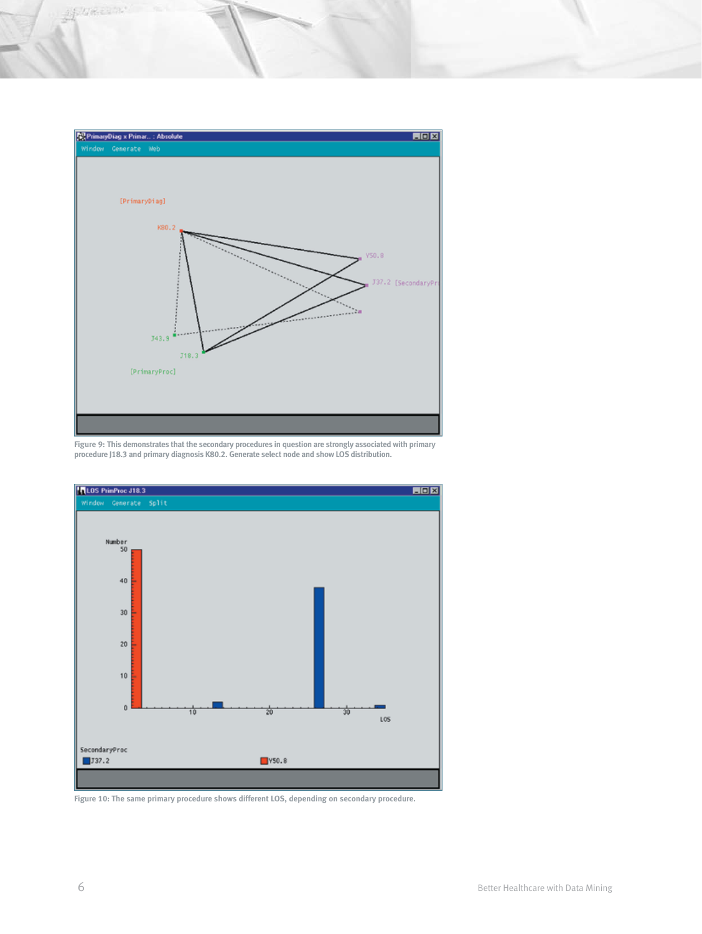

**Figure 9: This demonstrates that the secondary procedures in question are strongly associated with primary procedure J18.3 and primary diagnosis K80.2. Generate select node and show LOS distribution.**



**Figure 10: The same primary procedure shows different LOS, depending on secondary procedure.**

Aptrecent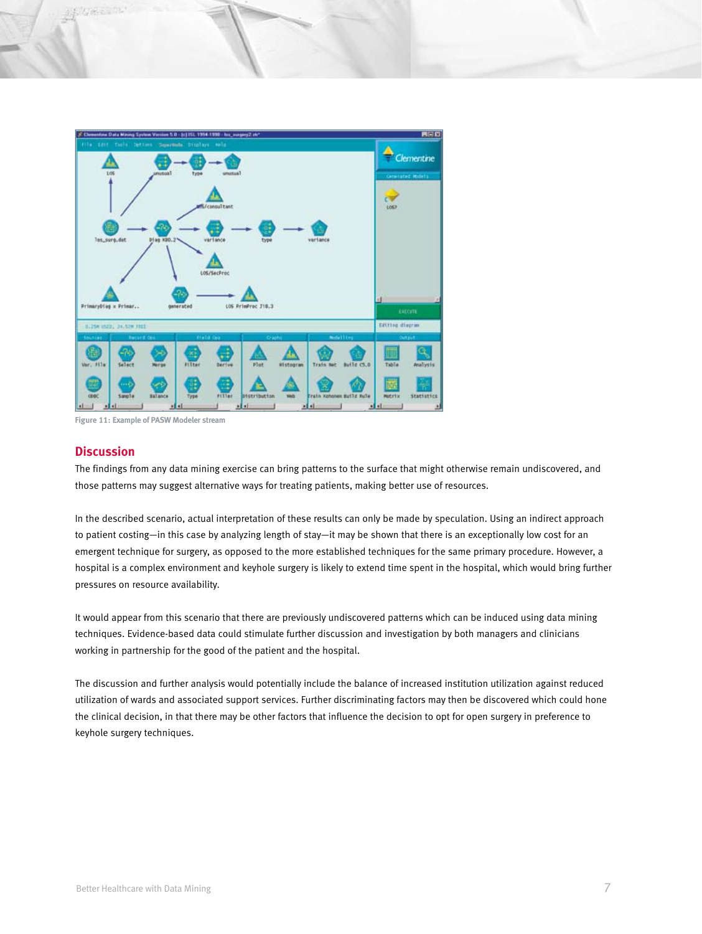

**Figure 11: Example of PASW Modeler stream**

#### **Discussion**

The findings from any data mining exercise can bring patterns to the surface that might otherwise remain undiscovered, and those patterns may suggest alternative ways for treating patients, making better use of resources.

In the described scenario, actual interpretation of these results can only be made by speculation. Using an indirect approach to patient costing—in this case by analyzing length of stay—it may be shown that there is an exceptionally low cost for an emergent technique for surgery, as opposed to the more established techniques for the same primary procedure. However, a hospital is a complex environment and keyhole surgery is likely to extend time spent in the hospital, which would bring further pressures on resource availability.

It would appear from this scenario that there are previously undiscovered patterns which can be induced using data mining techniques. Evidence-based data could stimulate further discussion and investigation by both managers and clinicians working in partnership for the good of the patient and the hospital.

The discussion and further analysis would potentially include the balance of increased institution utilization against reduced utilization of wards and associated support services. Further discriminating factors may then be discovered which could hone the clinical decision, in that there may be other factors that influence the decision to opt for open surgery in preference to keyhole surgery techniques.